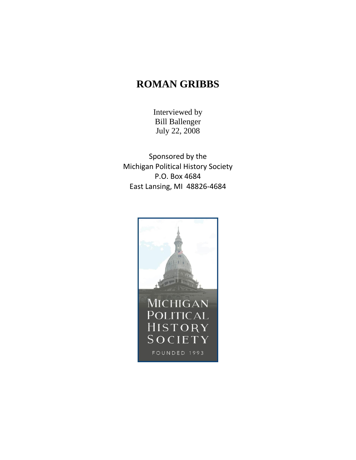## **ROMAN GRIBBS**

Interviewed by Bill Ballenger July 22, 2008

Sponsored by the Michigan Political History Society P.O. Box 4684 East Lansing, MI 48826-4684

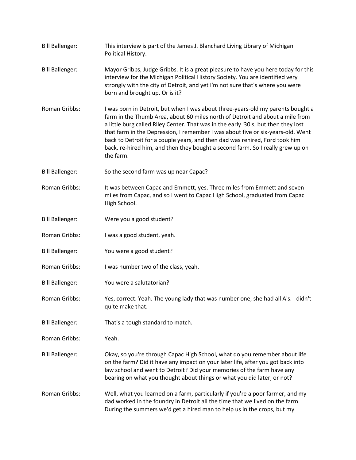Bill Ballenger: This interview is part of the James J. Blanchard Living Library of Michigan Political History. Bill Ballenger: Mayor Gribbs, Judge Gribbs. It is a great pleasure to have you here today for this interview for the Michigan Political History Society. You are identified very strongly with the city of Detroit, and yet I'm not sure that's where you were born and brought up. Or is it? Roman Gribbs: I was born in Detroit, but when I was about three-years-old my parents bought a farm in the Thumb Area, about 60 miles north of Detroit and about a mile from a little burg called Riley Center. That was in the early '30's, but then they lost that farm in the Depression, I remember I was about five or six-years-old. Went back to Detroit for a couple years, and then dad was rehired, Ford took him back, re-hired him, and then they bought a second farm. So I really grew up on the farm. Bill Ballenger: So the second farm was up near Capac? Roman Gribbs: It was between Capac and Emmett, yes. Three miles from Emmett and seven miles from Capac, and so I went to Capac High School, graduated from Capac High School. Bill Ballenger: Were you a good student? Roman Gribbs: I was a good student, yeah. Bill Ballenger: You were a good student? Roman Gribbs: I was number two of the class, yeah. Bill Ballenger: You were a salutatorian? Roman Gribbs: Yes, correct. Yeah. The young lady that was number one, she had all A's. I didn't quite make that. Bill Ballenger: That's a tough standard to match. Roman Gribbs: Yeah. Bill Ballenger: Okay, so you're through Capac High School, what do you remember about life on the farm? Did it have any impact on your later life, after you got back into law school and went to Detroit? Did your memories of the farm have any bearing on what you thought about things or what you did later, or not? Roman Gribbs: Well, what you learned on a farm, particularly if you're a poor farmer, and my dad worked in the foundry in Detroit all the time that we lived on the farm. During the summers we'd get a hired man to help us in the crops, but my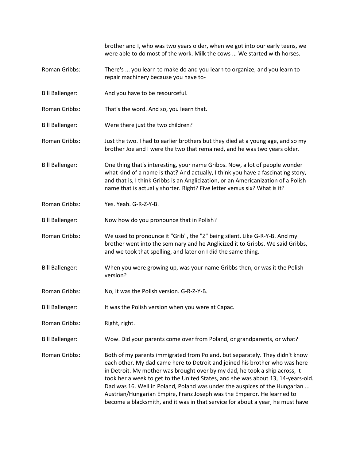brother and I, who was two years older, when we got into our early teens, we were able to do most of the work. Milk the cows ... We started with horses.

- Roman Gribbs: There's ... you learn to make do and you learn to organize, and you learn to repair machinery because you have to-
- Bill Ballenger: And you have to be resourceful.
- Roman Gribbs: That's the word. And so, you learn that.
- Bill Ballenger: Were there just the two children?
- Roman Gribbs: Just the two. I had to earlier brothers but they died at a young age, and so my brother Joe and I were the two that remained, and he was two years older.
- Bill Ballenger: One thing that's interesting, your name Gribbs. Now, a lot of people wonder what kind of a name is that? And actually, I think you have a fascinating story, and that is, I think Gribbs is an Anglicization, or an Americanization of a Polish name that is actually shorter. Right? Five letter versus six? What is it?
- Roman Gribbs: Yes. Yeah. G-R-Z-Y-B.
- Bill Ballenger: Now how do you pronounce that in Polish?
- Roman Gribbs: We used to pronounce it "Grib", the "Z" being silent. Like G-R-Y-B. And my brother went into the seminary and he Anglicized it to Gribbs. We said Gribbs, and we took that spelling, and later on I did the same thing.
- Bill Ballenger: When you were growing up, was your name Gribbs then, or was it the Polish version?
- Roman Gribbs: No, it was the Polish version. G-R-Z-Y-B.
- Bill Ballenger: It was the Polish version when you were at Capac.
- Roman Gribbs: Right, right.
- Bill Ballenger: Wow. Did your parents come over from Poland, or grandparents, or what?
- Roman Gribbs: Both of my parents immigrated from Poland, but separately. They didn't know each other. My dad came here to Detroit and joined his brother who was here in Detroit. My mother was brought over by my dad, he took a ship across, it took her a week to get to the United States, and she was about 13, 14-years-old. Dad was 16. Well in Poland, Poland was under the auspices of the Hungarian ... Austrian/Hungarian Empire, Franz Joseph was the Emperor. He learned to become a blacksmith, and it was in that service for about a year, he must have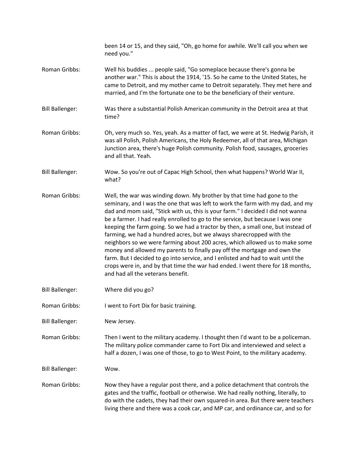|                        | been 14 or 15, and they said, "Oh, go home for awhile. We'll call you when we<br>need you."                                                                                                                                                                                                                                                                                                                                                                                                                                                                                                                                                                                                                                                                                                                                                                      |
|------------------------|------------------------------------------------------------------------------------------------------------------------------------------------------------------------------------------------------------------------------------------------------------------------------------------------------------------------------------------------------------------------------------------------------------------------------------------------------------------------------------------------------------------------------------------------------------------------------------------------------------------------------------------------------------------------------------------------------------------------------------------------------------------------------------------------------------------------------------------------------------------|
| Roman Gribbs:          | Well his buddies  people said, "Go someplace because there's gonna be<br>another war." This is about the 1914, '15. So he came to the United States, he<br>came to Detroit, and my mother came to Detroit separately. They met here and<br>married, and I'm the fortunate one to be the beneficiary of their venture.                                                                                                                                                                                                                                                                                                                                                                                                                                                                                                                                            |
| <b>Bill Ballenger:</b> | Was there a substantial Polish American community in the Detroit area at that<br>time?                                                                                                                                                                                                                                                                                                                                                                                                                                                                                                                                                                                                                                                                                                                                                                           |
| Roman Gribbs:          | Oh, very much so. Yes, yeah. As a matter of fact, we were at St. Hedwig Parish, it<br>was all Polish, Polish Americans, the Holy Redeemer, all of that area, Michigan<br>Junction area, there's huge Polish community. Polish food, sausages, groceries<br>and all that. Yeah.                                                                                                                                                                                                                                                                                                                                                                                                                                                                                                                                                                                   |
| <b>Bill Ballenger:</b> | Wow. So you're out of Capac High School, then what happens? World War II,<br>what?                                                                                                                                                                                                                                                                                                                                                                                                                                                                                                                                                                                                                                                                                                                                                                               |
| Roman Gribbs:          | Well, the war was winding down. My brother by that time had gone to the<br>seminary, and I was the one that was left to work the farm with my dad, and my<br>dad and mom said, "Stick with us, this is your farm." I decided I did not wanna<br>be a farmer. I had really enrolled to go to the service, but because I was one<br>keeping the farm going. So we had a tractor by then, a small one, but instead of<br>farming, we had a hundred acres, but we always sharecropped with the<br>neighbors so we were farming about 200 acres, which allowed us to make some<br>money and allowed my parents to finally pay off the mortgage and own the<br>farm. But I decided to go into service, and I enlisted and had to wait until the<br>crops were in, and by that time the war had ended. I went there for 18 months,<br>and had all the veterans benefit. |
| <b>Bill Ballenger:</b> | Where did you go?                                                                                                                                                                                                                                                                                                                                                                                                                                                                                                                                                                                                                                                                                                                                                                                                                                                |
| Roman Gribbs:          | I went to Fort Dix for basic training.                                                                                                                                                                                                                                                                                                                                                                                                                                                                                                                                                                                                                                                                                                                                                                                                                           |
| <b>Bill Ballenger:</b> | New Jersey.                                                                                                                                                                                                                                                                                                                                                                                                                                                                                                                                                                                                                                                                                                                                                                                                                                                      |
| Roman Gribbs:          | Then I went to the military academy. I thought then I'd want to be a policeman.<br>The military police commander came to Fort Dix and interviewed and select a<br>half a dozen, I was one of those, to go to West Point, to the military academy.                                                                                                                                                                                                                                                                                                                                                                                                                                                                                                                                                                                                                |
| <b>Bill Ballenger:</b> | Wow.                                                                                                                                                                                                                                                                                                                                                                                                                                                                                                                                                                                                                                                                                                                                                                                                                                                             |
| Roman Gribbs:          | Now they have a regular post there, and a police detachment that controls the<br>gates and the traffic, football or otherwise. We had really nothing, literally, to<br>do with the cadets, they had their own squared-in area. But there were teachers<br>living there and there was a cook car, and MP car, and ordinance car, and so for                                                                                                                                                                                                                                                                                                                                                                                                                                                                                                                       |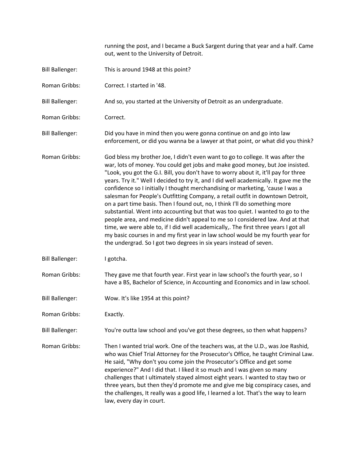running the post, and I became a Buck Sargent during that year and a half. Came out, went to the University of Detroit.

- Bill Ballenger: This is around 1948 at this point?
- Roman Gribbs: Correct. I started in '48.
- Bill Ballenger: And so, you started at the University of Detroit as an undergraduate.
- Roman Gribbs: Correct.
- Bill Ballenger: Did you have in mind then you were gonna continue on and go into law enforcement, or did you wanna be a lawyer at that point, or what did you think?
- Roman Gribbs: God bless my brother Joe, I didn't even want to go to college. It was after the war, lots of money. You could get jobs and make good money, but Joe insisted. "Look, you got the G.I. Bill, you don't have to worry about it, it'll pay for three years. Try it." Well I decided to try it, and I did well academically. It gave me the confidence so I initially I thought merchandising or marketing, 'cause I was a salesman for People's Outfitting Company, a retail outfit in downtown Detroit, on a part time basis. Then I found out, no, I think I'll do something more substantial. Went into accounting but that was too quiet. I wanted to go to the people area, and medicine didn't appeal to me so I considered law. And at that time, we were able to, if I did well academically,. The first three years I got all my basic courses in and my first year in law school would be my fourth year for the undergrad. So I got two degrees in six years instead of seven.
- Bill Ballenger: I gotcha.
- Roman Gribbs: They gave me that fourth year. First year in law school's the fourth year, so I have a BS, Bachelor of Science, in Accounting and Economics and in law school.
- Bill Ballenger: Wow. It's like 1954 at this point?
- Roman Gribbs: Exactly.
- Bill Ballenger: You're outta law school and you've got these degrees, so then what happens?
- Roman Gribbs: Then I wanted trial work. One of the teachers was, at the U.D., was Joe Rashid, who was Chief Trial Attorney for the Prosecutor's Office, he taught Criminal Law. He said, "Why don't you come join the Prosecutor's Office and get some experience?" And I did that. I liked it so much and I was given so many challenges that I ultimately stayed almost eight years. I wanted to stay two or three years, but then they'd promote me and give me big conspiracy cases, and the challenges, It really was a good life, I learned a lot. That's the way to learn law, every day in court.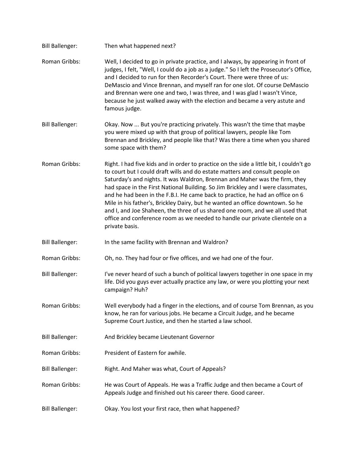| <b>Bill Ballenger:</b> | Then what happened next?                                                                                                                                                                                                                                                                                                                                                                                                                                                                                                                                                                                                                                                                        |
|------------------------|-------------------------------------------------------------------------------------------------------------------------------------------------------------------------------------------------------------------------------------------------------------------------------------------------------------------------------------------------------------------------------------------------------------------------------------------------------------------------------------------------------------------------------------------------------------------------------------------------------------------------------------------------------------------------------------------------|
| Roman Gribbs:          | Well, I decided to go in private practice, and I always, by appearing in front of<br>judges, I felt, "Well, I could do a job as a judge." So I left the Prosecutor's Office,<br>and I decided to run for then Recorder's Court. There were three of us:<br>DeMascio and Vince Brennan, and myself ran for one slot. Of course DeMascio<br>and Brennan were one and two, I was three, and I was glad I wasn't Vince,<br>because he just walked away with the election and became a very astute and<br>famous judge.                                                                                                                                                                              |
| <b>Bill Ballenger:</b> | Okay. Now  But you're practicing privately. This wasn't the time that maybe<br>you were mixed up with that group of political lawyers, people like Tom<br>Brennan and Brickley, and people like that? Was there a time when you shared<br>some space with them?                                                                                                                                                                                                                                                                                                                                                                                                                                 |
| Roman Gribbs:          | Right. I had five kids and in order to practice on the side a little bit, I couldn't go<br>to court but I could draft wills and do estate matters and consult people on<br>Saturday's and nights. It was Waldron, Brennan and Maher was the firm, they<br>had space in the First National Building. So Jim Brickley and I were classmates,<br>and he had been in the F.B.I. He came back to practice, he had an office on 6<br>Mile in his father's, Brickley Dairy, but he wanted an office downtown. So he<br>and I, and Joe Shaheen, the three of us shared one room, and we all used that<br>office and conference room as we needed to handle our private clientele on a<br>private basis. |
| <b>Bill Ballenger:</b> | In the same facility with Brennan and Waldron?                                                                                                                                                                                                                                                                                                                                                                                                                                                                                                                                                                                                                                                  |
| Roman Gribbs:          | Oh, no. They had four or five offices, and we had one of the four.                                                                                                                                                                                                                                                                                                                                                                                                                                                                                                                                                                                                                              |
| <b>Bill Ballenger:</b> | I've never heard of such a bunch of political lawyers together in one space in my<br>life. Did you guys ever actually practice any law, or were you plotting your next<br>campaign? Huh?                                                                                                                                                                                                                                                                                                                                                                                                                                                                                                        |
| Roman Gribbs:          | Well everybody had a finger in the elections, and of course Tom Brennan, as you<br>know, he ran for various jobs. He became a Circuit Judge, and he became<br>Supreme Court Justice, and then he started a law school.                                                                                                                                                                                                                                                                                                                                                                                                                                                                          |
| <b>Bill Ballenger:</b> | And Brickley became Lieutenant Governor                                                                                                                                                                                                                                                                                                                                                                                                                                                                                                                                                                                                                                                         |
| Roman Gribbs:          | President of Eastern for awhile.                                                                                                                                                                                                                                                                                                                                                                                                                                                                                                                                                                                                                                                                |
| <b>Bill Ballenger:</b> | Right. And Maher was what, Court of Appeals?                                                                                                                                                                                                                                                                                                                                                                                                                                                                                                                                                                                                                                                    |
| Roman Gribbs:          | He was Court of Appeals. He was a Traffic Judge and then became a Court of<br>Appeals Judge and finished out his career there. Good career.                                                                                                                                                                                                                                                                                                                                                                                                                                                                                                                                                     |
| <b>Bill Ballenger:</b> | Okay. You lost your first race, then what happened?                                                                                                                                                                                                                                                                                                                                                                                                                                                                                                                                                                                                                                             |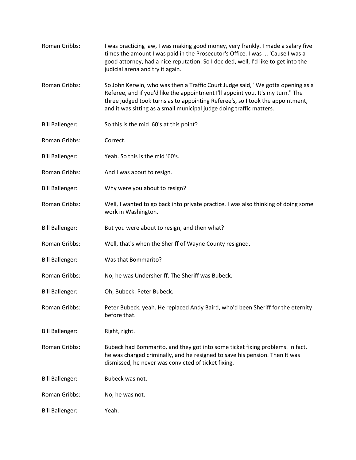| Roman Gribbs:          | I was practicing law, I was making good money, very frankly. I made a salary five<br>times the amount I was paid in the Prosecutor's Office. I was  'Cause I was a<br>good attorney, had a nice reputation. So I decided, well, I'd like to get into the<br>judicial arena and try it again.                                 |
|------------------------|------------------------------------------------------------------------------------------------------------------------------------------------------------------------------------------------------------------------------------------------------------------------------------------------------------------------------|
| Roman Gribbs:          | So John Kerwin, who was then a Traffic Court Judge said, "We gotta opening as a<br>Referee, and if you'd like the appointment I'll appoint you. It's my turn." The<br>three judged took turns as to appointing Referee's, so I took the appointment,<br>and it was sitting as a small municipal judge doing traffic matters. |
| <b>Bill Ballenger:</b> | So this is the mid '60's at this point?                                                                                                                                                                                                                                                                                      |
| Roman Gribbs:          | Correct.                                                                                                                                                                                                                                                                                                                     |
| <b>Bill Ballenger:</b> | Yeah. So this is the mid '60's.                                                                                                                                                                                                                                                                                              |
| Roman Gribbs:          | And I was about to resign.                                                                                                                                                                                                                                                                                                   |
| <b>Bill Ballenger:</b> | Why were you about to resign?                                                                                                                                                                                                                                                                                                |
| Roman Gribbs:          | Well, I wanted to go back into private practice. I was also thinking of doing some<br>work in Washington.                                                                                                                                                                                                                    |
| <b>Bill Ballenger:</b> | But you were about to resign, and then what?                                                                                                                                                                                                                                                                                 |
| Roman Gribbs:          | Well, that's when the Sheriff of Wayne County resigned.                                                                                                                                                                                                                                                                      |
| <b>Bill Ballenger:</b> | Was that Bommarito?                                                                                                                                                                                                                                                                                                          |
| Roman Gribbs:          | No, he was Undersheriff. The Sheriff was Bubeck.                                                                                                                                                                                                                                                                             |
| <b>Bill Ballenger:</b> | Oh, Bubeck. Peter Bubeck.                                                                                                                                                                                                                                                                                                    |
| Roman Gribbs:          | Peter Bubeck, yeah. He replaced Andy Baird, who'd been Sheriff for the eternity<br>before that.                                                                                                                                                                                                                              |
| <b>Bill Ballenger:</b> | Right, right.                                                                                                                                                                                                                                                                                                                |
| Roman Gribbs:          | Bubeck had Bommarito, and they got into some ticket fixing problems. In fact,<br>he was charged criminally, and he resigned to save his pension. Then It was<br>dismissed, he never was convicted of ticket fixing.                                                                                                          |
| <b>Bill Ballenger:</b> | Bubeck was not.                                                                                                                                                                                                                                                                                                              |
| Roman Gribbs:          | No, he was not.                                                                                                                                                                                                                                                                                                              |
| <b>Bill Ballenger:</b> | Yeah.                                                                                                                                                                                                                                                                                                                        |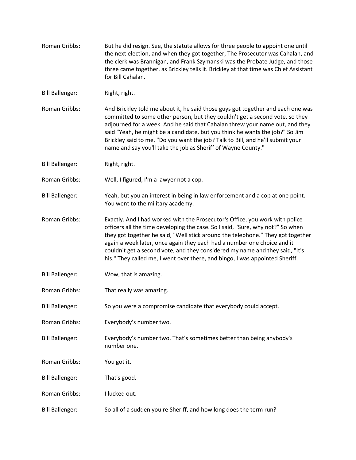Roman Gribbs: But he did resign. See, the statute allows for three people to appoint one until the next election, and when they got together, The Prosecutor was Cahalan, and the clerk was Brannigan, and Frank Szymanski was the Probate Judge, and those three came together, as Brickley tells it. Brickley at that time was Chief Assistant for Bill Cahalan. Bill Ballenger: Right, right. Roman Gribbs: And Brickley told me about it, he said those guys got together and each one was committed to some other person, but they couldn't get a second vote, so they adjourned for a week. And he said that Cahalan threw your name out, and they said "Yeah, he might be a candidate, but you think he wants the job?" So Jim Brickley said to me, "Do you want the job? Talk to Bill, and he'll submit your name and say you'll take the job as Sheriff of Wayne County." Bill Ballenger: Right, right. Roman Gribbs: Well, I figured, I'm a lawyer not a cop. Bill Ballenger: Yeah, but you an interest in being in law enforcement and a cop at one point. You went to the military academy. Roman Gribbs: Exactly. And I had worked with the Prosecutor's Office, you work with police officers all the time developing the case. So I said, "Sure, why not?" So when they got together he said, "Well stick around the telephone." They got together again a week later, once again they each had a number one choice and it couldn't get a second vote, and they considered my name and they said, "It's his." They called me, I went over there, and bingo, I was appointed Sheriff. Bill Ballenger: Wow, that is amazing. Roman Gribbs: That really was amazing. Bill Ballenger: So you were a compromise candidate that everybody could accept. Roman Gribbs: Everybody's number two. Bill Ballenger: Everybody's number two. That's sometimes better than being anybody's number one. Roman Gribbs: You got it. Bill Ballenger: That's good. Roman Gribbs: I lucked out. Bill Ballenger: So all of a sudden you're Sheriff, and how long does the term run?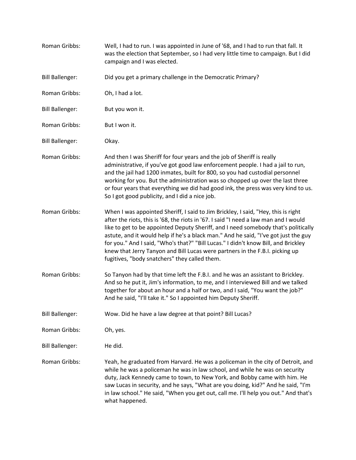| Roman Gribbs:          | Well, I had to run. I was appointed in June of '68, and I had to run that fall. It<br>was the election that September, so I had very little time to campaign. But I did<br>campaign and I was elected.                                                                                                                                                                                                                                                                                                                                                                        |
|------------------------|-------------------------------------------------------------------------------------------------------------------------------------------------------------------------------------------------------------------------------------------------------------------------------------------------------------------------------------------------------------------------------------------------------------------------------------------------------------------------------------------------------------------------------------------------------------------------------|
| <b>Bill Ballenger:</b> | Did you get a primary challenge in the Democratic Primary?                                                                                                                                                                                                                                                                                                                                                                                                                                                                                                                    |
| Roman Gribbs:          | Oh, I had a lot.                                                                                                                                                                                                                                                                                                                                                                                                                                                                                                                                                              |
| <b>Bill Ballenger:</b> | But you won it.                                                                                                                                                                                                                                                                                                                                                                                                                                                                                                                                                               |
| Roman Gribbs:          | But I won it.                                                                                                                                                                                                                                                                                                                                                                                                                                                                                                                                                                 |
| <b>Bill Ballenger:</b> | Okay.                                                                                                                                                                                                                                                                                                                                                                                                                                                                                                                                                                         |
| Roman Gribbs:          | And then I was Sheriff for four years and the job of Sheriff is really<br>administrative, if you've got good law enforcement people. I had a jail to run,<br>and the jail had 1200 inmates, built for 800, so you had custodial personnel<br>working for you. But the administration was so chopped up over the last three<br>or four years that everything we did had good ink, the press was very kind to us.<br>So I got good publicity, and I did a nice job.                                                                                                             |
| Roman Gribbs:          | When I was appointed Sheriff, I said to Jim Brickley, I said, "Hey, this is right<br>after the riots, this is '68, the riots in '67. I said "I need a law man and I would<br>like to get to be appointed Deputy Sheriff, and I need somebody that's politically<br>astute, and it would help if he's a black man." And he said, "I've got just the guy<br>for you." And I said, "Who's that?" "Bill Lucas." I didn't know Bill, and Brickley<br>knew that Jerry Tanyon and Bill Lucas were partners in the F.B.I. picking up<br>fugitives, "body snatchers" they called them. |
| Roman Gribbs:          | So Tanyon had by that time left the F.B.I. and he was an assistant to Brickley.<br>And so he put it, Jim's information, to me, and I interviewed Bill and we talked<br>together for about an hour and a half or two, and I said, "You want the job?"<br>And he said, "I'll take it." So I appointed him Deputy Sheriff.                                                                                                                                                                                                                                                       |
| <b>Bill Ballenger:</b> | Wow. Did he have a law degree at that point? Bill Lucas?                                                                                                                                                                                                                                                                                                                                                                                                                                                                                                                      |
| Roman Gribbs:          | Oh, yes.                                                                                                                                                                                                                                                                                                                                                                                                                                                                                                                                                                      |
| <b>Bill Ballenger:</b> | He did.                                                                                                                                                                                                                                                                                                                                                                                                                                                                                                                                                                       |
| Roman Gribbs:          | Yeah, he graduated from Harvard. He was a policeman in the city of Detroit, and<br>while he was a policeman he was in law school, and while he was on security<br>duty, Jack Kennedy came to town, to New York, and Bobby came with him. He<br>saw Lucas in security, and he says, "What are you doing, kid?" And he said, "I'm<br>in law school." He said, "When you get out, call me. I'll help you out." And that's<br>what happened.                                                                                                                                      |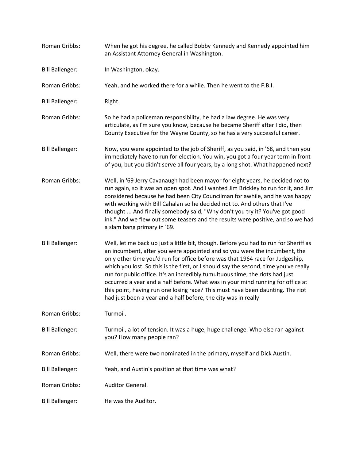| Roman Gribbs:          | When he got his degree, he called Bobby Kennedy and Kennedy appointed him<br>an Assistant Attorney General in Washington.                                                                                                                                                                                                                                                                                                                                                                                                                                                                                                                                         |
|------------------------|-------------------------------------------------------------------------------------------------------------------------------------------------------------------------------------------------------------------------------------------------------------------------------------------------------------------------------------------------------------------------------------------------------------------------------------------------------------------------------------------------------------------------------------------------------------------------------------------------------------------------------------------------------------------|
| <b>Bill Ballenger:</b> | In Washington, okay.                                                                                                                                                                                                                                                                                                                                                                                                                                                                                                                                                                                                                                              |
| Roman Gribbs:          | Yeah, and he worked there for a while. Then he went to the F.B.I.                                                                                                                                                                                                                                                                                                                                                                                                                                                                                                                                                                                                 |
| <b>Bill Ballenger:</b> | Right.                                                                                                                                                                                                                                                                                                                                                                                                                                                                                                                                                                                                                                                            |
| Roman Gribbs:          | So he had a policeman responsibility, he had a law degree. He was very<br>articulate, as I'm sure you know, because he became Sheriff after I did, then<br>County Executive for the Wayne County, so he has a very successful career.                                                                                                                                                                                                                                                                                                                                                                                                                             |
| <b>Bill Ballenger:</b> | Now, you were appointed to the job of Sheriff, as you said, in '68, and then you<br>immediately have to run for election. You win, you got a four year term in front<br>of you, but you didn't serve all four years, by a long shot. What happened next?                                                                                                                                                                                                                                                                                                                                                                                                          |
| Roman Gribbs:          | Well, in '69 Jerry Cavanaugh had been mayor for eight years, he decided not to<br>run again, so it was an open spot. And I wanted Jim Brickley to run for it, and Jim<br>considered because he had been City Councilman for awhile, and he was happy<br>with working with Bill Cahalan so he decided not to. And others that I've<br>thought  And finally somebody said, "Why don't you try it? You've got good<br>ink." And we flew out some teasers and the results were positive, and so we had<br>a slam bang primary in '69.                                                                                                                                 |
| <b>Bill Ballenger:</b> | Well, let me back up just a little bit, though. Before you had to run for Sheriff as<br>an incumbent, after you were appointed and so you were the incumbent, the<br>only other time you'd run for office before was that 1964 race for Judgeship,<br>which you lost. So this is the first, or I should say the second, time you've really<br>run for public office. It's an incredibly tumultuous time, the riots had just<br>occurred a year and a half before. What was in your mind running for office at<br>this point, having run one losing race? This must have been daunting. The riot<br>had just been a year and a half before, the city was in really |
| Roman Gribbs:          | Turmoil.                                                                                                                                                                                                                                                                                                                                                                                                                                                                                                                                                                                                                                                          |
| <b>Bill Ballenger:</b> | Turmoil, a lot of tension. It was a huge, huge challenge. Who else ran against<br>you? How many people ran?                                                                                                                                                                                                                                                                                                                                                                                                                                                                                                                                                       |
| Roman Gribbs:          | Well, there were two nominated in the primary, myself and Dick Austin.                                                                                                                                                                                                                                                                                                                                                                                                                                                                                                                                                                                            |
| <b>Bill Ballenger:</b> | Yeah, and Austin's position at that time was what?                                                                                                                                                                                                                                                                                                                                                                                                                                                                                                                                                                                                                |
| Roman Gribbs:          | Auditor General.                                                                                                                                                                                                                                                                                                                                                                                                                                                                                                                                                                                                                                                  |
| <b>Bill Ballenger:</b> | He was the Auditor.                                                                                                                                                                                                                                                                                                                                                                                                                                                                                                                                                                                                                                               |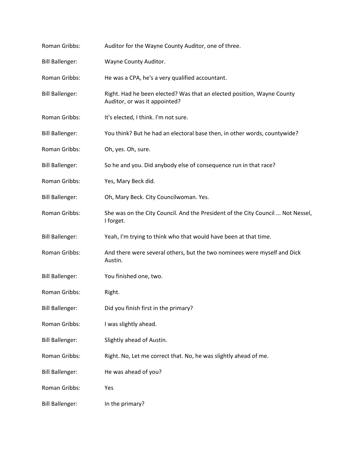| Roman Gribbs:          | Auditor for the Wayne County Auditor, one of three.                                                     |
|------------------------|---------------------------------------------------------------------------------------------------------|
| <b>Bill Ballenger:</b> | Wayne County Auditor.                                                                                   |
| Roman Gribbs:          | He was a CPA, he's a very qualified accountant.                                                         |
| <b>Bill Ballenger:</b> | Right. Had he been elected? Was that an elected position, Wayne County<br>Auditor, or was it appointed? |
| Roman Gribbs:          | It's elected, I think. I'm not sure.                                                                    |
| <b>Bill Ballenger:</b> | You think? But he had an electoral base then, in other words, countywide?                               |
| Roman Gribbs:          | Oh, yes. Oh, sure.                                                                                      |
| <b>Bill Ballenger:</b> | So he and you. Did anybody else of consequence run in that race?                                        |
| Roman Gribbs:          | Yes, Mary Beck did.                                                                                     |
| <b>Bill Ballenger:</b> | Oh, Mary Beck. City Councilwoman. Yes.                                                                  |
| Roman Gribbs:          | She was on the City Council. And the President of the City Council  Not Nessel,<br>I forget.            |
| <b>Bill Ballenger:</b> | Yeah, I'm trying to think who that would have been at that time.                                        |
| Roman Gribbs:          | And there were several others, but the two nominees were myself and Dick<br>Austin.                     |
| <b>Bill Ballenger:</b> | You finished one, two.                                                                                  |
| Roman Gribbs:          | Right.                                                                                                  |
| <b>Bill Ballenger:</b> | Did you finish first in the primary?                                                                    |
| Roman Gribbs:          | I was slightly ahead.                                                                                   |
| <b>Bill Ballenger:</b> | Slightly ahead of Austin.                                                                               |
| Roman Gribbs:          | Right. No, Let me correct that. No, he was slightly ahead of me.                                        |
| <b>Bill Ballenger:</b> | He was ahead of you?                                                                                    |
| Roman Gribbs:          | Yes                                                                                                     |
| <b>Bill Ballenger:</b> | In the primary?                                                                                         |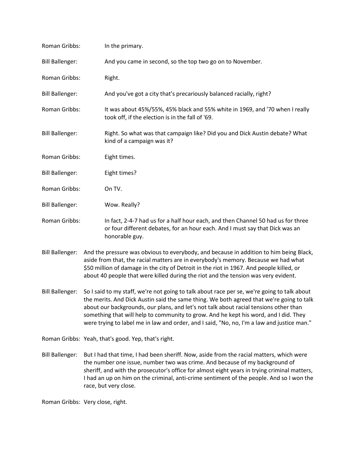| Roman Gribbs:          | In the primary.                                                                                                                                                                                                                                                          |
|------------------------|--------------------------------------------------------------------------------------------------------------------------------------------------------------------------------------------------------------------------------------------------------------------------|
| <b>Bill Ballenger:</b> | And you came in second, so the top two go on to November.                                                                                                                                                                                                                |
| Roman Gribbs:          | Right.                                                                                                                                                                                                                                                                   |
| <b>Bill Ballenger:</b> | And you've got a city that's precariously balanced racially, right?                                                                                                                                                                                                      |
| Roman Gribbs:          | It was about 45%/55%, 45% black and 55% white in 1969, and '70 when I really<br>took off, if the election is in the fall of '69.                                                                                                                                         |
| <b>Bill Ballenger:</b> | Right. So what was that campaign like? Did you and Dick Austin debate? What<br>kind of a campaign was it?                                                                                                                                                                |
| Roman Gribbs:          | Eight times.                                                                                                                                                                                                                                                             |
| <b>Bill Ballenger:</b> | Eight times?                                                                                                                                                                                                                                                             |
| Roman Gribbs:          | On TV.                                                                                                                                                                                                                                                                   |
| <b>Bill Ballenger:</b> | Wow. Really?                                                                                                                                                                                                                                                             |
| Roman Gribbs:          | In fact, 2-4-7 had us for a half hour each, and then Channel 50 had us for three<br>or four different debates, for an hour each. And I must say that Dick was an<br>honorable guy.                                                                                       |
| <b>Bill Ballenger:</b> | And the pressure was obvious to everybody, and because in addition to him being Black,<br>aside from that, the racial matters are in everybody's memory. Because we had what<br>\$50 million of damage in the city of Detroit in the riot in 1967. And people killed, or |

Bill Ballenger: So I said to my staff, we're not going to talk about race per se, we're going to talk about the merits. And Dick Austin said the same thing. We both agreed that we're going to talk about our backgrounds, our plans, and let's not talk about racial tensions other than something that will help to community to grow. And he kept his word, and I did. They were trying to label me in law and order, and I said, "No, no, I'm a law and justice man."

about 40 people that were killed during the riot and the tension was very evident.

- Roman Gribbs: Yeah, that's good. Yep, that's right.
- Bill Ballenger: But I had that time, I had been sheriff. Now, aside from the racial matters, which were the number one issue, number two was crime. And because of my background of sheriff, and with the prosecutor's office for almost eight years in trying criminal matters, I had an up on him on the criminal, anti-crime sentiment of the people. And so I won the race, but very close.

Roman Gribbs: Very close, right.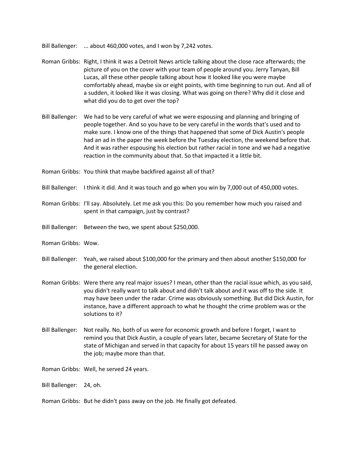Bill Ballenger: ... about 460,000 votes, and I won by 7,242 votes.

- Roman Gribbs: Right, I think it was a Detroit News article talking about the close race afterwards; the picture of you on the cover with your team of people around you. Jerry Tanyan, Bill Lucas, all these other people talking about how it looked like you were maybe comfortably ahead, maybe six or eight points, with time beginning to run out. And all of a sudden, it looked like it was closing. What was going on there? Why did it close and what did you do to get over the top?
- Bill Ballenger: We had to be very careful of what we were espousing and planning and bringing of people together. And so you have to be very careful in the words that's used and to make sure. I know one of the things that happened that some of Dick Austin's people had an ad in the paper the week before the Tuesday election, the weekend before that. And it was rather espousing his election but rather racial in tone and we had a negative reaction in the community about that. So that impacted it a little bit.
- Roman Gribbs: You think that maybe backfired against all of that?
- Bill Ballenger: I think it did. And it was touch and go when you win by 7,000 out of 450,000 votes.
- Roman Gribbs: I'll say. Absolutely. Let me ask you this: Do you remember how much you raised and spent in that campaign, just by contrast?
- Bill Ballenger: Between the two, we spent about \$250,000.
- Roman Gribbs: Wow.
- Bill Ballenger: Yeah, we raised about \$100,000 for the primary and then about another \$150,000 for the general election.
- Roman Gribbs: Were there any real major issues? I mean, other than the racial issue which, as you said, you didn't really want to talk about and didn't talk about and it was off to the side. It may have been under the radar. Crime was obviously something. But did Dick Austin, for instance, have a different approach to what he thought the crime problem was or the solutions to it?
- Bill Ballenger: Not really. No, both of us were for economic growth and before I forget, I want to remind you that Dick Austin, a couple of years later, became Secretary of State for the state of Michigan and served in that capacity for about 15 years till he passed away on the job; maybe more than that.

Roman Gribbs: Well, he served 24 years.

Bill Ballenger: 24, oh.

Roman Gribbs: But he didn't pass away on the job. He finally got defeated.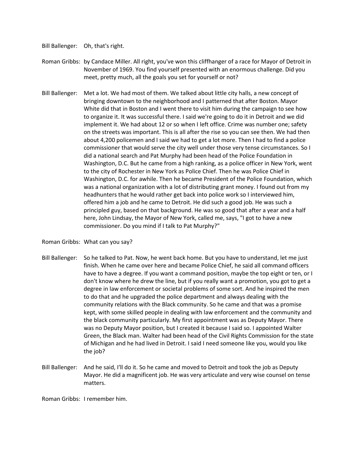- Bill Ballenger: Oh, that's right.
- Roman Gribbs: by Candace Miller. All right, you've won this cliffhanger of a race for Mayor of Detroit in November of 1969. You find yourself presented with an enormous challenge. Did you meet, pretty much, all the goals you set for yourself or not?
- Bill Ballenger: Met a lot. We had most of them. We talked about little city halls, a new concept of bringing downtown to the neighborhood and I patterned that after Boston. Mayor White did that in Boston and I went there to visit him during the campaign to see how to organize it. It was successful there. I said we're going to do it in Detroit and we did implement it. We had about 12 or so when I left office. Crime was number one; safety on the streets was important. This is all after the rise so you can see then. We had then about 4,200 policemen and I said we had to get a lot more. Then I had to find a police commissioner that would serve the city well under those very tense circumstances. So I did a national search and Pat Murphy had been head of the Police Foundation in Washington, D.C. But he came from a high ranking, as a police officer in New York, went to the city of Rochester in New York as Police Chief. Then he was Police Chief in Washington, D.C. for awhile. Then he became President of the Police Foundation, which was a national organization with a lot of distributing grant money. I found out from my headhunters that he would rather get back into police work so I interviewed him, offered him a job and he came to Detroit. He did such a good job. He was such a principled guy, based on that background. He was so good that after a year and a half here, John Lindsay, the Mayor of New York, called me, says, "I got to have a new commissioner. Do you mind if I talk to Pat Murphy?"

## Roman Gribbs: What can you say?

- Bill Ballenger: So he talked to Pat. Now, he went back home. But you have to understand, let me just finish. When he came over here and became Police Chief, he said all command officers have to have a degree. If you want a command position, maybe the top eight or ten, or I don't know where he drew the line, but if you really want a promotion, you got to get a degree in law enforcement or societal problems of some sort. And he inspired the men to do that and he upgraded the police department and always dealing with the community relations with the Black community. So he came and that was a promise kept, with some skilled people in dealing with law enforcement and the community and the black community particularly. My first appointment was as Deputy Mayor. There was no Deputy Mayor position, but I created it because I said so. I appointed Walter Green, the Black man. Walter had been head of the Civil Rights Commission for the state of Michigan and he had lived in Detroit. I said I need someone like you, would you like the job?
- Bill Ballenger: And he said, I'll do it. So he came and moved to Detroit and took the job as Deputy Mayor. He did a magnificent job. He was very articulate and very wise counsel on tense matters.

Roman Gribbs: I remember him.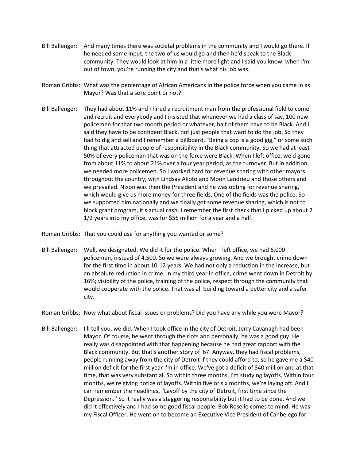- Bill Ballenger: And many times there was societal problems in the community and I would go there. If he needed some input, the two of us would go and then he'd speak to the Black community. They would look at him in a little more light and I said you know, when I'm out of town, you're running the city and that's what his job was.
- Roman Gribbs: What was the percentage of African Americans in the police force when you came in as Mayor? Was that a sore point or not?
- Bill Ballenger: They had about 11% and I hired a recruitment man from the professional field to come and recruit and everybody and I insisted that whenever we had a class of say, 100 new policemen for that two month period or whatever, half of them have to be Black. And I said they have to be confident Black, not just people that want to do the job. So they had to dig and sell and I remember a billboard, "Being a cop is a good gig," or some such thing that attracted people of responsibility in the Black community. So we had at least 50% of every policeman that was on the force were Black. When I left office, we'd gone from about 11% to about 21% over a four year period, as the turnover. But in addition, we needed more policemen. So I worked hard for revenue sharing with other mayors throughout the country, with Lindsay Alioto and Moon Landrieu and those others and we prevailed. Nixon was then the President and he was opting for revenue sharing, which would give us more money for three fields. One of the fields was the police. So we supported him nationally and we finally got some revenue sharing, which is not to block grant program, it's actual cash. I remember the first check that I picked up about 2 1/2 years into my office, was for \$56 million for a year and a half.

Roman Gribbs: That you could use for anything you wanted or some?

- Bill Ballenger: Well, we designated. We did it for the police. When I left office, we had 6,000 policemen, instead of 4,500. So we were always growing. And we brought crime down for the first time in about 10-12 years. We had not only a reduction in the increase, but an absolute reduction in crime. In my third year in office, crime went down in Detroit by 16%; visibility of the police, training of the police, respect through the community that would cooperate with the police. That was all building toward a better city and a safer city.
- Roman Gribbs: Now what about fiscal issues or problems? Did you have any while you were Mayor?
- Bill Ballenger: I'll tell you, we did. When I took office in the city of Detroit, Jerry Cavanagh had been Mayor. Of course, he went through the riots and personally, he was a good guy. He really was disappointed with that happening because he had great rapport with the Black community. But that's another story of '67. Anyway, they had fiscal problems, people running away from the city of Detroit if they could afford to, so he gave me a \$40 million deficit for the first year I'm in office. We've got a deficit of \$40 million and at that time, that was very substantial. So within three months, I'm studying layoffs. Within four months, we're giving notice of layoffs. Within five or six months, we're laying off. And I can remember the headlines, "Layoff by the city of Detroit, first time since the Depression." So it really was a staggering responsibility but it had to be done. And we did it effectively and I had some good fiscal people. Bob Roselle comes to mind. He was my Fiscal Officer. He went on to become an Executive Vice President of Canbelego for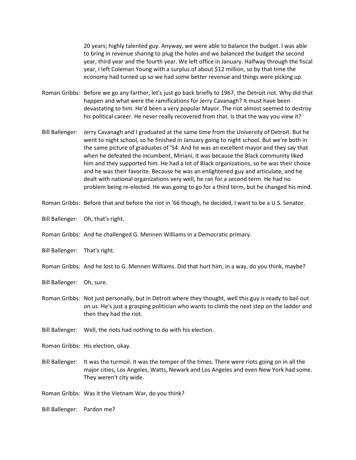20 years; highly talented guy. Anyway, we were able to balance the budget. I was able to bring in revenue sharing to plug the holes and we balanced the budget the second year, third year and the fourth year. We left office in January. Halfway through the fiscal year, I left Coleman Young with a surplus of about \$12 million, so by that time the economy had turned up so we had some better revenue and things were picking up.

- Roman Gribbs: Before we go any farther, let's just go back briefly to 1967, the Detroit riot. Why did that happen and what were the ramifications for Jerry Cavanagh? It must have been devastating to him. He'd been a very popular Mayor. The riot almost seemed to destroy his political career. He never really recovered from that. Is that the way you view it?
- Bill Ballenger: Jerry Cavanagh and I graduated at the same time from the University of Detroit. But he went to night school, so he finished in January going to night school. But we're both in the same picture of graduates of '54. And he was an excellent mayor and they say that when he defeated the incumbent, Miriani, it was because the Black community liked him and they supported him. He had a lot of Black organizations, so he was their choice and he was their favorite. Because he was an enlightened guy and articulate, and he dealt with national organizations very well, he ran for a second term. He had no problem being re-elected. He was going to go for a third term, but he changed his mind.
- Roman Gribbs: Before that and before the riot in '66 though, he decided, I want to be a U.S. Senator.
- Bill Ballenger: Oh, that's right.
- Roman Gribbs: And he challenged G. Mennen Williams in a Democratic primary.
- Bill Ballenger: That's right.
- Roman Gribbs: And he lost to G. Mennen Williams. Did that hurt him, in a way, do you think, maybe?
- Bill Ballenger: Oh, sure.
- Roman Gribbs: Not just personally, but in Detroit where they thought, well this guy is ready to bail out on us. He's just a grasping politician who wants to climb the next step on the ladder and then they had the riot.
- Bill Ballenger: Well, the riots had nothing to do with his election.
- Roman Gribbs: His election, okay.
- Bill Ballenger: It was the turmoil. It was the temper of the times. There were riots going on in all the major cities, Los Angeles, Watts, Newark and Los Angeles and even New York had some. They weren't city wide.
- Roman Gribbs: Was it the Vietnam War, do you think?
- Bill Ballenger: Pardon me?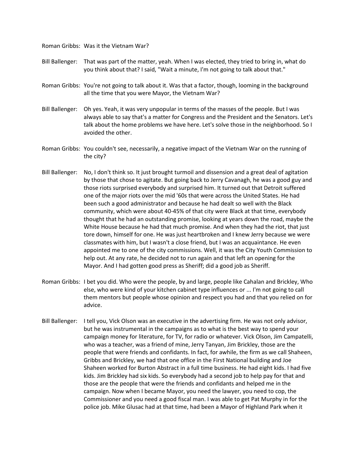Roman Gribbs: Was it the Vietnam War?

- Bill Ballenger: That was part of the matter, yeah. When I was elected, they tried to bring in, what do you think about that? I said, "Wait a minute, I'm not going to talk about that."
- Roman Gribbs: You're not going to talk about it. Was that a factor, though, looming in the background all the time that you were Mayor, the Vietnam War?
- Bill Ballenger: Oh yes. Yeah, it was very unpopular in terms of the masses of the people. But I was always able to say that's a matter for Congress and the President and the Senators. Let's talk about the home problems we have here. Let's solve those in the neighborhood. So I avoided the other.
- Roman Gribbs: You couldn't see, necessarily, a negative impact of the Vietnam War on the running of the city?
- Bill Ballenger: No, I don't think so. It just brought turmoil and dissension and a great deal of agitation by those that chose to agitate. But going back to Jerry Cavanagh, he was a good guy and those riots surprised everybody and surprised him. It turned out that Detroit suffered one of the major riots over the mid '60s that were across the United States. He had been such a good administrator and because he had dealt so well with the Black community, which were about 40-45% of that city were Black at that time, everybody thought that he had an outstanding promise, looking at years down the road, maybe the White House because he had that much promise. And when they had the riot, that just tore down, himself for one. He was just heartbroken and I knew Jerry because we were classmates with him, but I wasn't a close friend, but I was an acquaintance. He even appointed me to one of the city commissions. Well, it was the City Youth Commission to help out. At any rate, he decided not to run again and that left an opening for the Mayor. And I had gotten good press as Sheriff; did a good job as Sheriff.
- Roman Gribbs: I bet you did. Who were the people, by and large, people like Cahalan and Brickley, Who else, who were kind of your kitchen cabinet type influences or ... I'm not going to call them mentors but people whose opinion and respect you had and that you relied on for advice.
- Bill Ballenger: I tell you, Vick Olson was an executive in the advertising firm. He was not only advisor, but he was instrumental in the campaigns as to what is the best way to spend your campaign money for literature, for TV, for radio or whatever. Vick Olson, Jim Campatelli, who was a teacher, was a friend of mine, Jerry Tanyan, Jim Brickley, those are the people that were friends and confidants. In fact, for awhile, the firm as we call Shaheen, Gribbs and Brickley, we had that one office in the First National building and Joe Shaheen worked for Burton Abstract in a full time business. He had eight kids. I had five kids. Jim Brickley had six kids. So everybody had a second job to help pay for that and those are the people that were the friends and confidants and helped me in the campaign. Now when I became Mayor, you need the lawyer, you need to cop, the Commissioner and you need a good fiscal man. I was able to get Pat Murphy in for the police job. Mike Glusac had at that time, had been a Mayor of Highland Park when it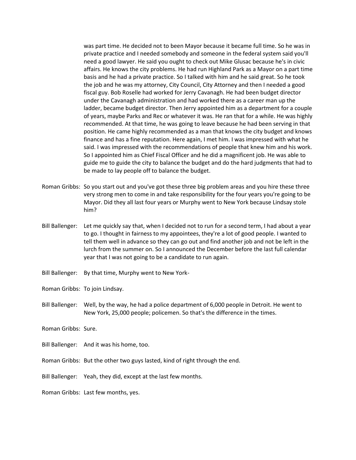was part time. He decided not to been Mayor because it became full time. So he was in private practice and I needed somebody and someone in the federal system said you'll need a good lawyer. He said you ought to check out Mike Glusac because he's in civic affairs. He knows the city problems. He had run Highland Park as a Mayor on a part time basis and he had a private practice. So I talked with him and he said great. So he took the job and he was my attorney, City Council, City Attorney and then I needed a good fiscal guy. Bob Roselle had worked for Jerry Cavanagh. He had been budget director under the Cavanagh administration and had worked there as a career man up the ladder, became budget director. Then Jerry appointed him as a department for a couple of years, maybe Parks and Rec or whatever it was. He ran that for a while. He was highly recommended. At that time, he was going to leave because he had been serving in that position. He came highly recommended as a man that knows the city budget and knows finance and has a fine reputation. Here again, I met him. I was impressed with what he said. I was impressed with the recommendations of people that knew him and his work. So I appointed him as Chief Fiscal Officer and he did a magnificent job. He was able to guide me to guide the city to balance the budget and do the hard judgments that had to be made to lay people off to balance the budget.

- Roman Gribbs: So you start out and you've got these three big problem areas and you hire these three very strong men to come in and take responsibility for the four years you're going to be Mayor. Did they all last four years or Murphy went to New York because Lindsay stole him?
- Bill Ballenger: Let me quickly say that, when I decided not to run for a second term, I had about a year to go. I thought in fairness to my appointees, they're a lot of good people. I wanted to tell them well in advance so they can go out and find another job and not be left in the lurch from the summer on. So I announced the December before the last full calendar year that I was not going to be a candidate to run again.
- Bill Ballenger: By that time, Murphy went to New York-

Roman Gribbs: To join Lindsay.

Bill Ballenger: Well, by the way, he had a police department of 6,000 people in Detroit. He went to New York, 25,000 people; policemen. So that's the difference in the times.

Roman Gribbs: Sure.

- Bill Ballenger: And it was his home, too.
- Roman Gribbs: But the other two guys lasted, kind of right through the end.
- Bill Ballenger: Yeah, they did, except at the last few months.
- Roman Gribbs: Last few months, yes.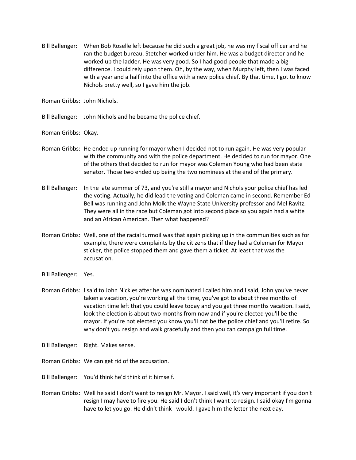Bill Ballenger: When Bob Roselle left because he did such a great job, he was my fiscal officer and he ran the budget bureau. Stetcher worked under him. He was a budget director and he worked up the ladder. He was very good. So I had good people that made a big difference. I could rely upon them. Oh, by the way, when Murphy left, then I was faced with a year and a half into the office with a new police chief. By that time, I got to know Nichols pretty well, so I gave him the job.

Roman Gribbs: John Nichols.

Bill Ballenger: John Nichols and he became the police chief.

Roman Gribbs: Okay.

- Roman Gribbs: He ended up running for mayor when I decided not to run again. He was very popular with the community and with the police department. He decided to run for mayor. One of the others that decided to run for mayor was Coleman Young who had been state senator. Those two ended up being the two nominees at the end of the primary.
- Bill Ballenger: In the late summer of 73, and you're still a mayor and Nichols your police chief has led the voting. Actually, he did lead the voting and Coleman came in second. Remember Ed Bell was running and John Molk the Wayne State University professor and Mel Ravitz. They were all in the race but Coleman got into second place so you again had a white and an African American. Then what happened?
- Roman Gribbs: Well, one of the racial turmoil was that again picking up in the communities such as for example, there were complaints by the citizens that if they had a Coleman for Mayor sticker, the police stopped them and gave them a ticket. At least that was the accusation.
- Bill Ballenger: Yes.
- Roman Gribbs: I said to John Nickles after he was nominated I called him and I said, John you've never taken a vacation, you're working all the time, you've got to about three months of vacation time left that you could leave today and you get three months vacation. I said, look the election is about two months from now and if you're elected you'll be the mayor. If you're not elected you know you'll not be the police chief and you'll retire. So why don't you resign and walk gracefully and then you can campaign full time.
- Bill Ballenger: Right. Makes sense.
- Roman Gribbs: We can get rid of the accusation.
- Bill Ballenger: You'd think he'd think of it himself.
- Roman Gribbs: Well he said I don't want to resign Mr. Mayor. I said well, it's very important if you don't resign I may have to fire you. He said I don't think I want to resign. I said okay I'm gonna have to let you go. He didn't think I would. I gave him the letter the next day.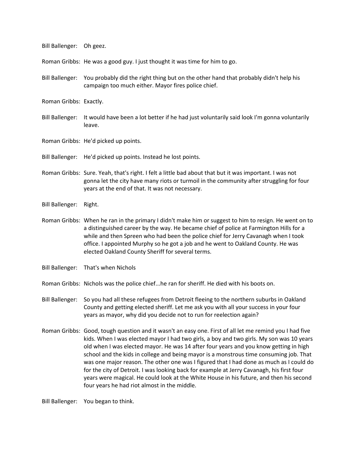Bill Ballenger: Oh geez.

Roman Gribbs: He was a good guy. I just thought it was time for him to go.

Bill Ballenger: You probably did the right thing but on the other hand that probably didn't help his campaign too much either. Mayor fires police chief.

Roman Gribbs: Exactly.

- Bill Ballenger: It would have been a lot better if he had just voluntarily said look I'm gonna voluntarily leave.
- Roman Gribbs: He'd picked up points.
- Bill Ballenger: He'd picked up points. Instead he lost points.
- Roman Gribbs: Sure. Yeah, that's right. I felt a little bad about that but it was important. I was not gonna let the city have many riots or turmoil in the community after struggling for four years at the end of that. It was not necessary.
- Bill Ballenger: Right.
- Roman Gribbs: When he ran in the primary I didn't make him or suggest to him to resign. He went on to a distinguished career by the way. He became chief of police at Farmington Hills for a while and then Spreen who had been the police chief for Jerry Cavanagh when I took office. I appointed Murphy so he got a job and he went to Oakland County. He was elected Oakland County Sheriff for several terms.
- Bill Ballenger: That's when Nichols
- Roman Gribbs: Nichols was the police chief...he ran for sheriff. He died with his boots on.
- Bill Ballenger: So you had all these refugees from Detroit fleeing to the northern suburbs in Oakland County and getting elected sheriff. Let me ask you with all your success in your four years as mayor, why did you decide not to run for reelection again?
- Roman Gribbs: Good, tough question and it wasn't an easy one. First of all let me remind you I had five kids. When I was elected mayor I had two girls, a boy and two girls. My son was 10 years old when I was elected mayor. He was 14 after four years and you know getting in high school and the kids in college and being mayor is a monstrous time consuming job. That was one major reason. The other one was I figured that I had done as much as I could do for the city of Detroit. I was looking back for example at Jerry Cavanagh, his first four years were magical. He could look at the White House in his future, and then his second four years he had riot almost in the middle.

Bill Ballenger: You began to think.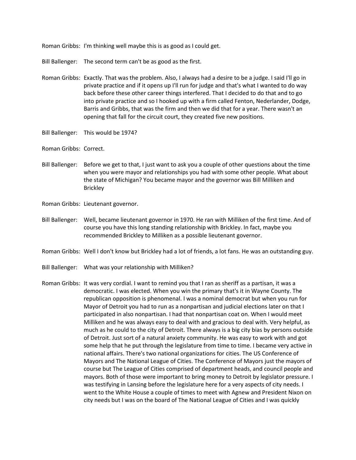Roman Gribbs: I'm thinking well maybe this is as good as I could get.

Bill Ballenger: The second term can't be as good as the first.

- Roman Gribbs: Exactly. That was the problem. Also, I always had a desire to be a judge. I said I'll go in private practice and if it opens up I'll run for judge and that's what I wanted to do way back before these other career things interfered. That I decided to do that and to go into private practice and so I hooked up with a firm called Fenton, Nederlander, Dodge, Barris and Gribbs, that was the firm and then we did that for a year. There wasn't an opening that fall for the circuit court, they created five new positions.
- Bill Ballenger: This would be 1974?
- Roman Gribbs: Correct.
- Bill Ballenger: Before we get to that, I just want to ask you a couple of other questions about the time when you were mayor and relationships you had with some other people. What about the state of Michigan? You became mayor and the governor was Bill Milliken and Brickley
- Roman Gribbs: Lieutenant governor.
- Bill Ballenger: Well, became lieutenant governor in 1970. He ran with Milliken of the first time. And of course you have this long standing relationship with Brickley. In fact, maybe you recommended Brickley to Milliken as a possible lieutenant governor.
- Roman Gribbs: Well I don't know but Brickley had a lot of friends, a lot fans. He was an outstanding guy.
- Bill Ballenger: What was your relationship with Milliken?
- Roman Gribbs: It was very cordial. I want to remind you that I ran as sheriff as a partisan, it was a democratic. I was elected. When you win the primary that's it in Wayne County. The republican opposition is phenomenal. I was a nominal democrat but when you run for Mayor of Detroit you had to run as a nonpartisan and judicial elections later on that I participated in also nonpartisan. I had that nonpartisan coat on. When I would meet Milliken and he was always easy to deal with and gracious to deal with. Very helpful, as much as he could to the city of Detroit. There always is a big city bias by persons outside of Detroit. Just sort of a natural anxiety community. He was easy to work with and got some help that he put through the legislature from time to time. I became very active in national affairs. There's two national organizations for cities. The US Conference of Mayors and The National League of Cities. The Conference of Mayors just the mayors of course but The League of Cities comprised of department heads, and council people and mayors. Both of those were important to bring money to Detroit by legislator pressure. I was testifying in Lansing before the legislature here for a very aspects of city needs. I went to the White House a couple of times to meet with Agnew and President Nixon on city needs but I was on the board of The National League of Cities and I was quickly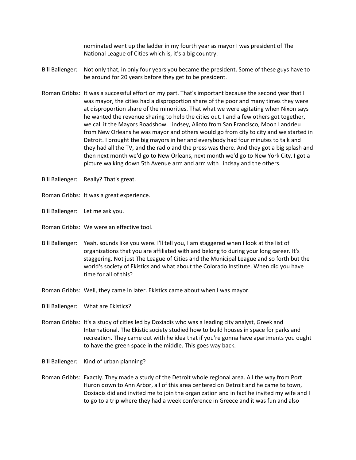nominated went up the ladder in my fourth year as mayor I was president of The National League of Cities which is, it's a big country.

- Bill Ballenger: Not only that, in only four years you became the president. Some of these guys have to be around for 20 years before they get to be president.
- Roman Gribbs: It was a successful effort on my part. That's important because the second year that I was mayor, the cities had a disproportion share of the poor and many times they were at disproportion share of the minorities. That what we were agitating when Nixon says he wanted the revenue sharing to help the cities out. I and a few others got together, we call it the Mayors Roadshow. Lindsey, Alioto from San Francisco, Moon Landrieu from New Orleans he was mayor and others would go from city to city and we started in Detroit. I brought the big mayors in her and everybody had four minutes to talk and they had all the TV, and the radio and the press was there. And they got a big splash and then next month we'd go to New Orleans, next month we'd go to New York City. I got a picture walking down 5th Avenue arm and arm with Lindsay and the others.
- Bill Ballenger: Really? That's great.
- Roman Gribbs: It was a great experience.
- Bill Ballenger: Let me ask you.
- Roman Gribbs: We were an effective tool.
- Bill Ballenger: Yeah, sounds like you were. I'll tell you, I am staggered when I look at the list of organizations that you are affiliated with and belong to during your long career. It's staggering. Not just The League of Cities and the Municipal League and so forth but the world's society of Ekistics and what about the Colorado Institute. When did you have time for all of this?
- Roman Gribbs: Well, they came in later. Ekistics came about when I was mayor.
- Bill Ballenger: What are Ekistics?
- Roman Gribbs: It's a study of cities led by Doxiadis who was a leading city analyst, Greek and International. The Ekistic society studied how to build houses in space for parks and recreation. They came out with he idea that if you're gonna have apartments you ought to have the green space in the middle. This goes way back.
- Bill Ballenger: Kind of urban planning?
- Roman Gribbs: Exactly. They made a study of the Detroit whole regional area. All the way from Port Huron down to Ann Arbor, all of this area centered on Detroit and he came to town, Doxiadis did and invited me to join the organization and in fact he invited my wife and I to go to a trip where they had a week conference in Greece and it was fun and also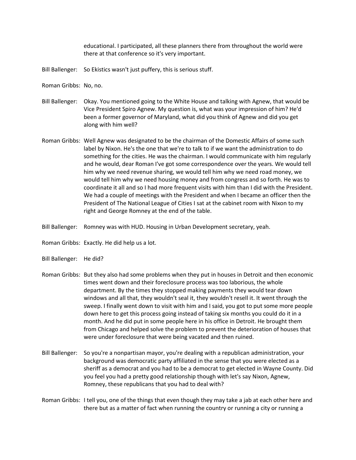educational. I participated, all these planners there from throughout the world were there at that conference so it's very important.

- Bill Ballenger: So Ekistics wasn't just puffery, this is serious stuff.
- Roman Gribbs: No, no.
- Bill Ballenger: Okay. You mentioned going to the White House and talking with Agnew, that would be Vice President Spiro Agnew. My question is, what was your impression of him? He'd been a former governor of Maryland, what did you think of Agnew and did you get along with him well?
- Roman Gribbs: Well Agnew was designated to be the chairman of the Domestic Affairs of some such label by Nixon. He's the one that we're to talk to if we want the administration to do something for the cities. He was the chairman. I would communicate with him regularly and he would, dear Roman I've got some correspondence over the years. We would tell him why we need revenue sharing, we would tell him why we need road money, we would tell him why we need housing money and from congress and so forth. He was to coordinate it all and so I had more frequent visits with him than I did with the President. We had a couple of meetings with the President and when I became an officer then the President of The National League of Cities I sat at the cabinet room with Nixon to my right and George Romney at the end of the table.
- Bill Ballenger: Romney was with HUD. Housing in Urban Development secretary, yeah.
- Roman Gribbs: Exactly. He did help us a lot.
- Bill Ballenger: He did?
- Roman Gribbs: But they also had some problems when they put in houses in Detroit and then economic times went down and their foreclosure process was too laborious, the whole department. By the times they stopped making payments they would tear down windows and all that, they wouldn't seal it, they wouldn't resell it. It went through the sweep. I finally went down to visit with him and I said, you got to put some more people down here to get this process going instead of taking six months you could do it in a month. And he did put in some people here in his office in Detroit. He brought them from Chicago and helped solve the problem to prevent the deterioration of houses that were under foreclosure that were being vacated and then ruined.
- Bill Ballenger: So you're a nonpartisan mayor, you're dealing with a republican administration, your background was democratic party affiliated in the sense that you were elected as a sheriff as a democrat and you had to be a democrat to get elected in Wayne County. Did you feel you had a pretty good relationship though with let's say Nixon, Agnew, Romney, these republicans that you had to deal with?
- Roman Gribbs: I tell you, one of the things that even though they may take a jab at each other here and there but as a matter of fact when running the country or running a city or running a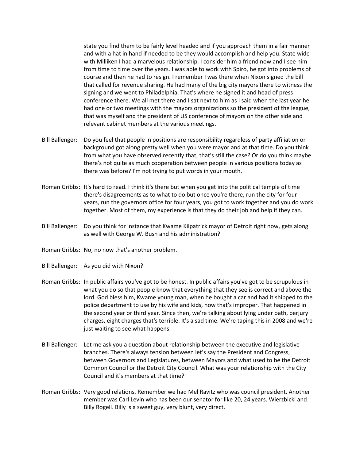state you find them to be fairly level headed and if you approach them in a fair manner and with a hat in hand if needed to be they would accomplish and help you. State wide with Milliken I had a marvelous relationship. I consider him a friend now and I see him from time to time over the years. I was able to work with Spiro, he got into problems of course and then he had to resign. I remember I was there when Nixon signed the bill that called for revenue sharing. He had many of the big city mayors there to witness the signing and we went to Philadelphia. That's where he signed it and head of press conference there. We all met there and I sat next to him as I said when the last year he had one or two meetings with the mayors organizations so the president of the league, that was myself and the president of US conference of mayors on the other side and relevant cabinet members at the various meetings.

- Bill Ballenger: Do you feel that people in positions are responsibility regardless of party affiliation or background got along pretty well when you were mayor and at that time. Do you think from what you have observed recently that, that's still the case? Or do you think maybe there's not quite as much cooperation between people in various positions today as there was before? I'm not trying to put words in your mouth.
- Roman Gribbs: It's hard to read. I think it's there but when you get into the political temple of time there's disagreements as to what to do but once you're there, run the city for four years, run the governors office for four years, you got to work together and you do work together. Most of them, my experience is that they do their job and help if they can.
- Bill Ballenger: Do you think for instance that Kwame Kilpatrick mayor of Detroit right now, gets along as well with George W. Bush and his administration?
- Roman Gribbs: No, no now that's another problem.
- Bill Ballenger: As you did with Nixon?
- Roman Gribbs: In public affairs you've got to be honest. In public affairs you've got to be scrupulous in what you do so that people know that everything that they see is correct and above the lord. God bless him, Kwame young man, when he bought a car and had it shipped to the police department to use by his wife and kids, now that's improper. That happened in the second year or third year. Since then, we're talking about lying under oath, perjury charges, eight charges that's terrible. It's a sad time. We're taping this in 2008 and we're just waiting to see what happens.
- Bill Ballenger: Let me ask you a question about relationship between the executive and legislative branches. There's always tension between let's say the President and Congress, between Governors and Legislatures, between Mayors and what used to be the Detroit Common Council or the Detroit City Council. What was your relationship with the City Council and it's members at that time?
- Roman Gribbs: Very good relations. Remember we had Mel Ravitz who was council president. Another member was Carl Levin who has been our senator for like 20, 24 years. Wierzbicki and Billy Rogell. Billy is a sweet guy, very blunt, very direct.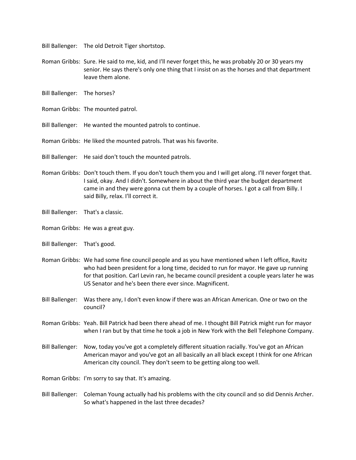Bill Ballenger: The old Detroit Tiger shortstop.

- Roman Gribbs: Sure. He said to me, kid, and I'll never forget this, he was probably 20 or 30 years my senior. He says there's only one thing that I insist on as the horses and that department leave them alone.
- Bill Ballenger: The horses?
- Roman Gribbs: The mounted patrol.
- Bill Ballenger: He wanted the mounted patrols to continue.
- Roman Gribbs: He liked the mounted patrols. That was his favorite.
- Bill Ballenger: He said don't touch the mounted patrols.
- Roman Gribbs: Don't touch them. If you don't touch them you and I will get along. I'll never forget that. I said, okay. And I didn't. Somewhere in about the third year the budget department came in and they were gonna cut them by a couple of horses. I got a call from Billy. I said Billy, relax. I'll correct it.
- Bill Ballenger: That's a classic.
- Roman Gribbs: He was a great guy.
- Bill Ballenger: That's good.
- Roman Gribbs: We had some fine council people and as you have mentioned when I left office, Ravitz who had been president for a long time, decided to run for mayor. He gave up running for that position. Carl Levin ran, he became council president a couple years later he was US Senator and he's been there ever since. Magnificent.
- Bill Ballenger: Was there any, I don't even know if there was an African American. One or two on the council?
- Roman Gribbs: Yeah. Bill Patrick had been there ahead of me. I thought Bill Patrick might run for mayor when I ran but by that time he took a job in New York with the Bell Telephone Company.
- Bill Ballenger: Now, today you've got a completely different situation racially. You've got an African American mayor and you've got an all basically an all black except I think for one African American city council. They don't seem to be getting along too well.
- Roman Gribbs: I'm sorry to say that. It's amazing.
- Bill Ballenger: Coleman Young actually had his problems with the city council and so did Dennis Archer. So what's happened in the last three decades?